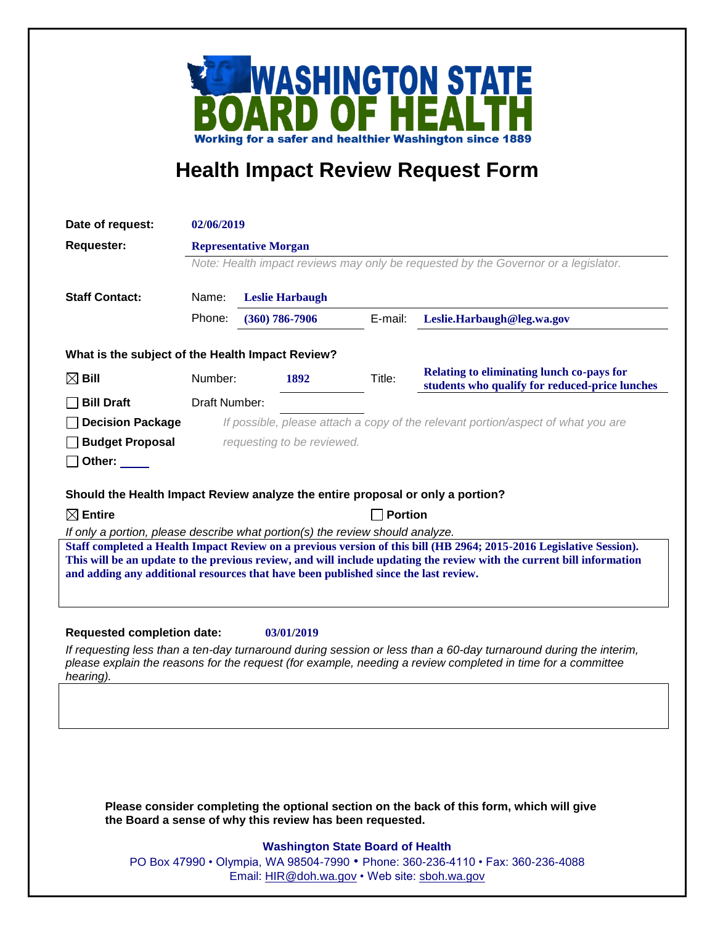

## **Health Impact Review Request Form**

| Date of request:                                                                                                                                                                                                                                                                                                                                                                                                                                                                                                                               | 02/06/2019                                                                                                         |                                                                                  |      |         |                                                                                             |
|------------------------------------------------------------------------------------------------------------------------------------------------------------------------------------------------------------------------------------------------------------------------------------------------------------------------------------------------------------------------------------------------------------------------------------------------------------------------------------------------------------------------------------------------|--------------------------------------------------------------------------------------------------------------------|----------------------------------------------------------------------------------|------|---------|---------------------------------------------------------------------------------------------|
| <b>Requester:</b>                                                                                                                                                                                                                                                                                                                                                                                                                                                                                                                              | <b>Representative Morgan</b><br>Note: Health impact reviews may only be requested by the Governor or a legislator. |                                                                                  |      |         |                                                                                             |
|                                                                                                                                                                                                                                                                                                                                                                                                                                                                                                                                                |                                                                                                                    |                                                                                  |      |         |                                                                                             |
| <b>Staff Contact:</b>                                                                                                                                                                                                                                                                                                                                                                                                                                                                                                                          | Name:                                                                                                              |                                                                                  |      |         |                                                                                             |
|                                                                                                                                                                                                                                                                                                                                                                                                                                                                                                                                                | Phone:                                                                                                             | <b>Leslie Harbaugh</b><br>$(360) 786 - 7906$                                     |      | E-mail: | Leslie.Harbaugh@leg.wa.gov                                                                  |
|                                                                                                                                                                                                                                                                                                                                                                                                                                                                                                                                                |                                                                                                                    |                                                                                  |      |         |                                                                                             |
| What is the subject of the Health Impact Review?                                                                                                                                                                                                                                                                                                                                                                                                                                                                                               |                                                                                                                    |                                                                                  |      |         |                                                                                             |
| $\boxtimes$ Bill                                                                                                                                                                                                                                                                                                                                                                                                                                                                                                                               | Number:                                                                                                            |                                                                                  | 1892 | Title:  | Relating to eliminating lunch co-pays for<br>students who qualify for reduced-price lunches |
| <b>Bill Draft</b>                                                                                                                                                                                                                                                                                                                                                                                                                                                                                                                              | Draft Number:                                                                                                      |                                                                                  |      |         |                                                                                             |
| <b>Decision Package</b>                                                                                                                                                                                                                                                                                                                                                                                                                                                                                                                        |                                                                                                                    | If possible, please attach a copy of the relevant portion/aspect of what you are |      |         |                                                                                             |
| <b>Budget Proposal</b>                                                                                                                                                                                                                                                                                                                                                                                                                                                                                                                         | requesting to be reviewed.                                                                                         |                                                                                  |      |         |                                                                                             |
| _  Other: _____                                                                                                                                                                                                                                                                                                                                                                                                                                                                                                                                |                                                                                                                    |                                                                                  |      |         |                                                                                             |
| Should the Health Impact Review analyze the entire proposal or only a portion?<br>$\boxtimes$ Entire<br><b>Portion</b><br>If only a portion, please describe what portion(s) the review should analyze.<br>Staff completed a Health Impact Review on a previous version of this bill (HB 2964; 2015-2016 Legislative Session).<br>This will be an update to the previous review, and will include updating the review with the current bill information<br>and adding any additional resources that have been published since the last review. |                                                                                                                    |                                                                                  |      |         |                                                                                             |
| <b>Requested completion date:</b><br>03/01/2019<br>If requesting less than a ten-day turnaround during session or less than a 60-day turnaround during the interim,<br>please explain the reasons for the request (for example, needing a review completed in time for a committee<br>hearing).                                                                                                                                                                                                                                                |                                                                                                                    |                                                                                  |      |         |                                                                                             |
|                                                                                                                                                                                                                                                                                                                                                                                                                                                                                                                                                |                                                                                                                    |                                                                                  |      |         | Dloges consider completing the ontianal section on the book of this ferm, which will give   |

**Please consider completing the optional section on the back of this form, which will give the Board a sense of why this review has been requested.**

## **Washington State Board of Health**

PO Box 47990 • Olympia, WA 98504-7990 • Phone: 360-236-4110 • Fax: 360-236-4088 Email: [HIR@doh.wa.gov](mailto:HIR@doh.wa.gov) • Web site: [sboh.wa.gov](http://www.sboh.wa.gov/hdcouncil/)